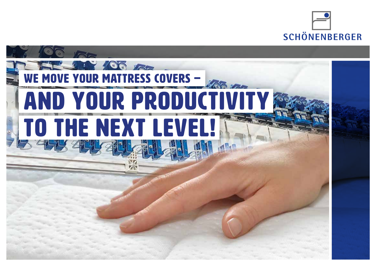

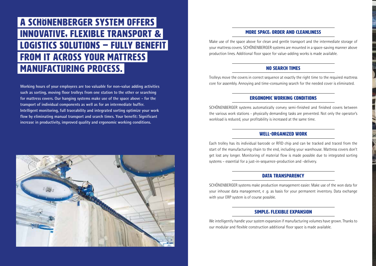### A SCHÖNENBERGER SYSTEM OFFERS INNOVATIVE, FLEXIBLE Transport & Logistics solutions – FULLY BENEFIT FROM IT ACROSS YOUR MATTRESS MANUFACTURING PROCESS.

**Working hours of your employees are too valuable for non-value adding activities such as sorting, moving floor trolleys from one station to the other or searching for mattress covers. Our hanging systems make use of the space above - for the transport of individual components as well as for an intermediate buffer. Intelligent monitoring, full traceability and integrated sorting optimize your work flow by eliminating manual transport and search times. Your benefit: Significant increase in productivity, improved quality and ergonomic working conditions.**



#### MORE SPACE, ORDER AND CLEANLINESS

Make use of the space above for clean and gentle transport and the intermediate storage of your mattress covers. SCHÖNENBERGER systems are mounted in a space-saving manner above production lines. Additional floor space for value-adding works is made available.

#### NO SEARCH TIMES

Trolleys move the covers in correct sequence at exactly the right time to the required mattress core for assembly. Annoying and time-consuming search for the needed cover is eliminated.

#### ERGONOMIC WORKING CONDITIONS

SCHÖNENBERGER systems automatically convey semi-finished and finished covers between the various work stations - physically demanding tasks are prevented. Not only the operator's workload is reduced, your profitability is increased at the same time.

#### WELL-ORGANIZED WORK

Each trolley has its individual barcode or RFID chip and can be tracked and traced from the start of the manufacturing chain to the end, including your warehouse. Mattress covers don't get lost any longer. Monitoring of material flow is made possible due to integrated sorting systems – essential for a just-in-sequence-production and -delivery.

#### DATA TRANSPARENCY

SCHÖNENBERGER systems make production management easier. Make use of the won data for your inhouse data management, e .g. as basis for your permanent inventory. Data exchange with your ERP system is of course possible.

#### SIMPLE, FLEXIBLE EXPANSION

We intelligently handle your system expansion if manufacturing volumes have grown. Thanks to our modular and flexible construction additional floor space is made available.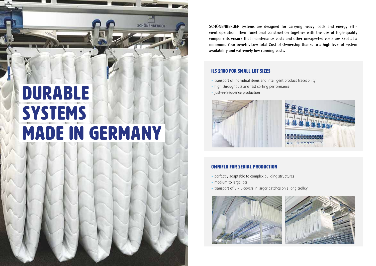# DURABLE SYSTEMS made in Germany

**P** SCHÖNENBERGER

**SCHÖNENBERGER systems are designed for carrying heavy loads and energy efficient operation. Their functional construction together with the use of high-quality components ensure that maintenance costs and other unexpected costs are kept at a minimum. Your benefit: Low total Cost of Ownership thanks to a high level of system availability and extremely low running costs.**

#### ILS 2100 FOR SMALL LOT SIZES

- transport of individual items and intelligent product traceability
- high throughputs and fast sorting performance
- just-in-Sequence production



#### OMNIFLO FOR SERIAL PRODUCTION

- perfectly adaptable to complex building structures
- medium to large lots
- transport of 3 6 covers in larger batches on a long trolley